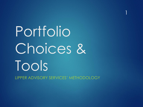# Portfolio Choices & Tools LIPPER ADVISORY SERVICES' METHODOLOGY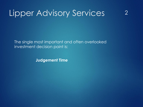2

The single most important and often overlooked investment decision point is:

**Judgement Time**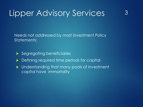3

Needs not addressed by most Investment Policy Statements:

- Segregating beneficiaries
- **Defining required time periods for capital**
- **Inderstanding that many pools of investment** capital have immortality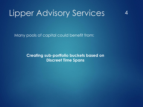Many pools of capital could benefit from:

**Creating sub-portfolio buckets based on Discreet Time Spans**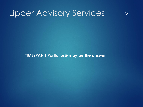**TIMESPAN L Portfolios® may be the answer**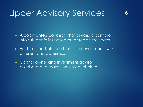A copyrighted concept that divides a portfolio into sub portfolios based on agreed time spans

6

Each sub portfolio holds multiple investments with different characteristics

▶ Capital owner and investment advisor collaborate to make investment choices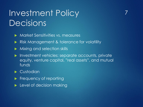# Investment Policy Decisions

- **Market Sensitivities vs. measures**
- Risk Management & tolerance for volatility
- Mixing and selection skills
- **Investment vehicles: separate accounts, privately** equity, venture capital, "real assets", and mutual funds

7

#### Custodian

- Frequency of reporting
- $\blacktriangleright$  Level of decision making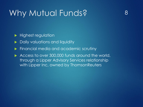### Why Mutual Funds?

Highest regulation

- **Daily valuations and liquidity**
- Financial media and academic scrutiny
- Access to over 300,000 funds around the world, through a Lipper Advisory Services relationship with Lipper Inc, owned by ThomsonReuters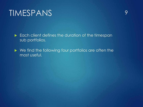#### TIMESPANS

 $\blacktriangleright$  Each client defines the duration of the timespan sub portfolios.

▶ We find the following four portfolios are often the most useful.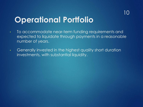#### **Operational Portfolio**

- To accommodate near-term funding requirements and expected to liquidate through payments in a reasonable number of years.
- Generally invested in the highest quality short duration investments, with substantial liquidity.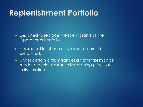#### **Replenishment Portfolio**

11

Designed to replace the spent grants of the Operational Portfolio.

Assumes at least one down year before it is exhausted.

**Inder certain circumstances an attempt may be** made to avoid substantially declining prices late in its duration.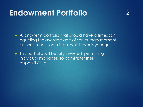#### **Endowment Portfolio**

12

A long-term portfolio that should have a timespan equaling the average age of senior management or investment committee, whichever is younger.

 $\blacktriangleright$  This portfolio will be fully invested, permitting individual managers to administer their responsibilities.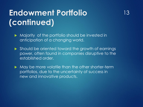# **Endowment Portfolio (continued)**

- Majority of the portfolio should be invested in anticipation of a changing world.
- Should be oriented toward the growth of earnings power, often found in companies disruptive to the established order.

13

May be more volatile than the other shorter-term portfolios, due to the uncertainty of success in new and innovative products.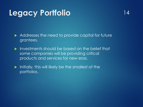#### **Legacy Portfolio**

- Addresses the need to provide capital for future grantees.
- **Investments should be based on the belief that** some companies will be providing critical products and services for new eras.
- $\blacktriangleright$  Initially, this will likely be the smallest of the portfolios.